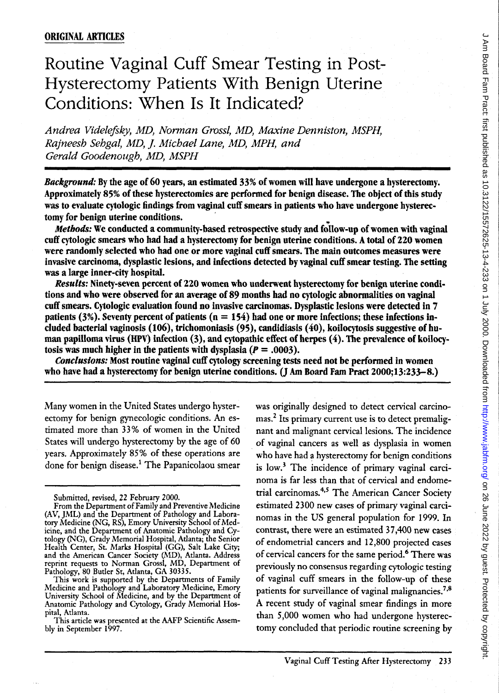# Routine Vaginal Cuff Smear Testing in Post-Hysterectomy Patients With Benign Uterine Conditions: When Is It Indicated?

*Andrea Videleftky, MD, Nonnan GrossI, MD, Maxine Denniston, MSPH, Rajneesh Sehgal, MD,* ]. *Michael Lane, MD, MPH, and Gerald Goodenough, MD, MSPH* 

*Background:* By the age of 60 years, an estimated 33% of women will have undergone a hysterectomy. Approximately 85% of these hysterectomies are performed for benign disease. The object of this study was to evaluate cytologic findings from vaginal cuff smears in patients who have undergone hysterectomy for benign uterine conditions.

*Methods:* We conducted a community-based retrospective study and foilow-up of women with vaginal cuff cytologic smears who had had a hysterectomy for benign uterine conditions. A total of 220 women were randomly selected who had one or more vaginal cuff smears. The main outcomes measures were invasive carcinoma, dysplastic lesions, and infections detected by vaginal cuff smear testing. The setting was a large inner-city hospital.

*Results:* Ninety-seven percent of 220 women who underwent hysterectomy for benign uterine conditions and who were observed for an average of 89 months had no cytologic abnormalities on vaginal cuff smears. Cytologic evaluation found no invasive carcinomas. Dysplastic lesions were detected in 7 patients (3%). Seventy percent of patients ( $n = 154$ ) had one or more infections; these infections included bacterial vaginosis (106), trichomoniasis (95), candidiasis (40), koiIocytosis suggestive ofhuman papilloma virus (HPV) infection  $(3)$ , and cytopathic effect of herpes  $(4)$ . The prevalence of koilocytosis was much higher in the patients with dysplasia  $(P = .0003)$ .

*Conclusions:* Most routine vaginal cuff cytology screening tests need not be performed in women who have had a hysterectomy for benign uterine conditions. (J Am Board Fam Pract 2000;13:233-8.)

Many women in the United States undergo hysterectomy for benign gynecologic conditions. An estimated more than 33 % of women in the United States will undergo hysterectomy by the age of 60 years. Approximately 85% of these operations are done for benign disease.<sup>1</sup> The Papanicolaou smear was originally designed to detect cervical carcinomas.2 Its primary current use is to detect premalignant and malignant cervical lesions. The incidence of vaginal cancers as well as dysplasia in women who have had a hysterectomy for benign conditions is low.3 The incidence of primary vaginal carcinoma is far less than that of cervical and endometrial carcinomas.<sup>4,5</sup> The American Cancer Society estimated 2300 new cases of primary vaginal carcinomas in the US general population for 1999. In contrast, there were an estimated 37,400 new cases of endometrial cancers and 12,800 projected cases of cervical cancers for the same period.6 There was previously no consensus regarding cytologic testing of vaginal cuff smears in the follow-up of these patients for surveillance of vaginal malignancies.<sup>7,8</sup> A recent study of vaginal smear findings in more than 5,000 women who had undergone hysterectomy concluded that periodic routine screening by

Submitted, revised, 22 February 2000.

From the Department of Family and Preventive Medicine (AV, JML) and the Department of Pathology and Laboratory Medicine (NG, RS), Emory University School of Medicine, and the Department of Anatomic Pathology and Cytology (NG), Grady Memorial Hospital, Atlanta; the Senior Health Center, St. Marks Hospital (GG), Salt Lake City; and the American Cancer Society (MD), Atlanta. Address reprint requests to Norman GrossI, MD, Department of Pathology, 80 Butler St, Atlanta, GA 30335.

This work is supported by the Departments of Family Medicine and Pathology and Laboratory Medicine, Emory University School of Medicine, and by the Department of Anatomic Pathology and Cytology, Grady Memorial Hospital, Atlanta.

This article was presented at the AAFP Scientific Assembly in September 1997.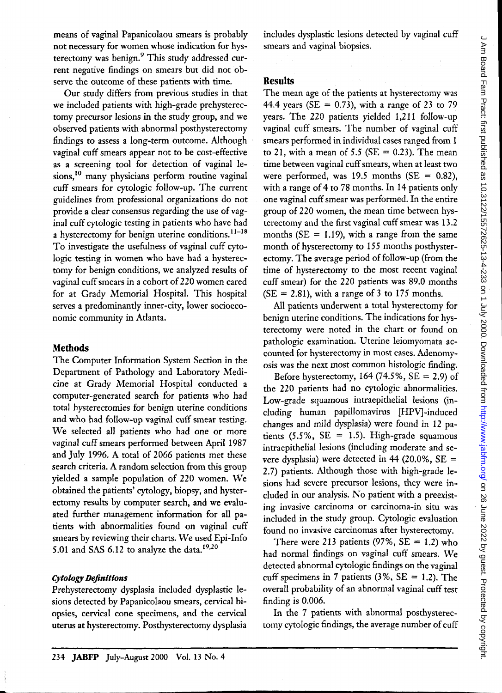means of vaginal Papanicolaou smears is probably not necessary for women whose indication for hysterectomy was benign.<sup>9</sup> This study addressed current negative findings on smears but did not observe the outcome of these patients with time.

Our study differs from previous studies in that we included patients with high-grade prehysterectomy precursor lesions in the study group, and we observed patients with abnormal posthysterectomy findings to assess a long-term outcome. Although vaginal cuff smears appear not to be cost-effective as a screening tool for detection of vaginal lesions,<sup>10</sup> many physicians perform routine vaginal cuff smears for cytologic follow-up. The current guidelines from professional organizations do not provide a clear consensus regarding the use of vaginal cuff cytologic testing in patients who have had a hysterectomy for benign uterine conditions.<sup>11-18</sup> To investigate the usefulness of vaginal cuff cytologic testing in women who have had a hysterectomy for benign conditions, we analyzed results of vaginal cuff smears in a cohort of 220 women cared for at Grady Memorial Hospital. This hospital serves a predominantly inner-city, lower socioeconomic community in Atlanta.

## **Methods**

The Computer Information System Section in the Department of Pathology and Laboratory Medicine at Grady Memorial Hospital conducted a computer-generated search for patients who had total hysterectomies for benign uterine conditions and who had follow-up vaginal cuff smear testing. We selected all patients who had one or more vaginal cuff smears performed between April 1987 and July 1996. A total of 2066 patients met these search criteria. A random selection from this group yielded a sample population of 220 women. We obtained the patients' cytology, biopsy, and hysterectomy results by computer search, and we evaluated further management information for all patients with abnormalities found on vaginal cuff smears by reviewing their charts. We used Epi-Info 5.01 and SAS 6.12 to analyze the data.19,2o

## *Cytology Definitions*

Prehysterectomy dysplasia included dysplastic lesions detected by Papanicolaou smears, cervical biopsies, cervical cone specimens, and the cervical uterus at hysterectomy. Posthysterectomy dysplasia includes dysplastic lesions detected by vaginal cuff smears and vaginal biopsies.

# **Results**

The mean age of the patients at hysterectomy was 44.4 years (SE =  $0.73$ ), with a range of 23 to 79 years. The 220 patients yielded 1,211 follow-up vaginal cuff smears. The number of vaginal cuff smears performed in individual cases ranged from 1 to 21, with a mean of 5.5 ( $SE = 0.23$ ). The mean time between vaginal cuff smears, when at least two were performed, was 19.5 months ( $SE = 0.82$ ), with a range of 4 to 78 months. In 14 patients only one vaginal cuff smear was performed. In the entire group of 220 women, the mean time between hysterectomy and the first vaginal cuff smear was 13.2 months ( $SE = 1.19$ ), with a range from the same month of hysterectomy to 155 months posthysterectomy. The average period of follow-up (from the time of hysterectomy to the most recent vaginal cuff smear) for the 220 patients was 89.0 months  $(SE = 2.81)$ , with a range of 3 to 175 months.

All patients underwent a total hysterectomy for benign uterine conditions. The indications for hysterectomy were noted in the chart or found on pathologic examination. Uterine leiomyomata accounted for hysterectomy in most cases. Adenomyosis was the next most common histologic finding.

Before hysterectomy, 164 (74.5%,  $SE = 2.9$ ) of the 220 patients had no cytologic abnormalities. Low-grade squamous intraepithelial lesions (including human papillomavirus [HPV]-induced changes and mild dysplasia) were found in 12 patients  $(5.5\%, \text{SE} = 1.5)$ . High-grade squamous intra epithelial lesions (including moderate and severe dysplasia) were detected in 44 (20.0%,  $SE =$ 2.7) patients. Although those with high-grade lesions had severe precursor lesions, they were included in our analysis. No patient with a preexisting invasive carcinoma or carcinoma-in situ was included in the study group. Cytologic evaluation found no invasive carcinomas after hysterectomy.

There were 213 patients (97%,  $SE = 1.2$ ) who had normal findings on vaginal cuff smears. We detected abnormal cytologic findings on the vaginal cuff specimens in 7 patients  $(3\%, \text{SE} = 1.2)$ . The overall probability of an abnormal vaginal cuff test finding is 0.006.

In the 7 patients with abnormal posthysterectomy cytologic findings, the average number of cuff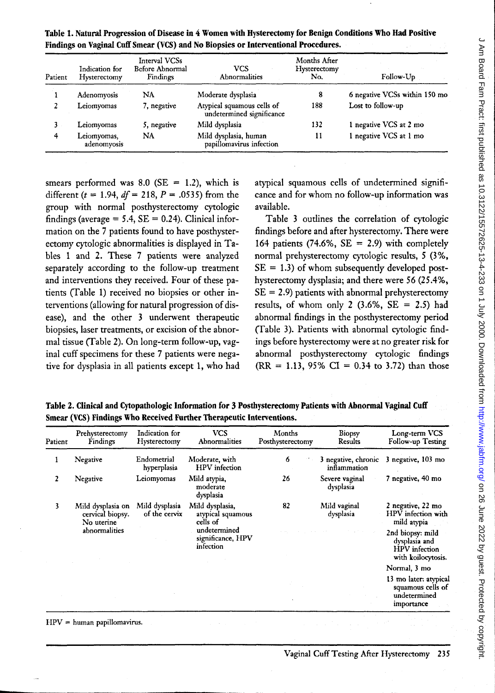| Patient | Indication for<br>Hysterectomy | Interval VCSs<br>Before Abnormal<br>Findings | <b>VCS</b><br>Abnormalities                             | Months After<br>Hysterectomy<br>No. | Follow-Up                     |
|---------|--------------------------------|----------------------------------------------|---------------------------------------------------------|-------------------------------------|-------------------------------|
|         | Adenomyosis                    | NA                                           | Moderate dysplasia                                      | 8                                   | 6 negative VCSs within 150 mo |
|         | Leiomyomas                     | 7, negative                                  | Atypical squamous cells of<br>undetermined significance | 188                                 | Lost to follow-up             |
| 3.      | Leiomyomas                     | 5, negative                                  | Mild dysplasia                                          | 132                                 | 1 negative VCS at 2 mo        |
| 4       | Leiomyomas,<br>adenomyosis     | NΑ                                           | Mild dysplasia, human<br>papillomavirus infection       | 11                                  | 1 negative VCS at 1 mo        |

Table 1. Natural Progression of Disease in 4 Women with Hysterectomy for Benign Conditions Who Had Positive Findings on Vaginal Cuff Smear (VCS) and No Biopsies or Interventional Procedures.

smears performed was 8.0 (SE = 1.2), which is different *(t* = 1.94, *df=* 218, *P* = .0535) from the group with normal posthysterectomy cytologic findings (average  $= 5.4$ ,  $SE = 0.24$ ). Clinical information on the 7 patients found to have posthysterectomy cytologic abnormalities is displayed in Tables 1 and 2. These 7 patients were analyzed separately according to the follow-up treatment and interventions they received. Four of these patients (fable 1) received no biopsies or other interventions (allowing for natural progression of disease), and the other 3 underwent therapeutic biopsies, laser treatments, or excision of the abnormal tissue (fable 2). On long-term follow-up, vaginal cuff specimens for these 7 patients were negative for dysplasia in all patients except 1, who had atypical squamous cells of undetermined significance and for whom no follow-up information was available.

Table 3 outlines the correlation of cytologic findings before and after hysterectomy. There were 164 patients (74.6%,  $SE = 2.9$ ) with completely normal prehysterectomy cytologic results, 5 (3%,  $SE = 1.3$ ) of whom subsequently developed posthysterectomy dysplasia; and there were 56 (25.4%,  $SE = 2.9$ ) patients with abnormal prehysterectomy results, of whom only 2  $(3.6\%, \text{SE} = 2.5)$  had abnormal findings in the posthysterectomy period (fable 3). Patients with abnormal cytologic findings before hysterectomy were at no greater risk for abnormal posthysterectomy cytologic findings  $(RR = 1.13, 95\% \text{ CI} = 0.34 \text{ to } 3.72) \text{ than those}$ 

Table 2. Clinical and Cytopathologic Information for 3 Posthysterectomy Patients with Abnormal Vaginal Cuff Smear (VCS) Findings Who Received Further Therapeutic Interventions.

| Patient | Prehysterectomy<br>Findings                         | Indication for<br>Hysterectomy  | <b>VCS</b><br>Abnormalities                      | Months<br>Posthysterectomy | Biopsy<br>Results                   | Long-term VCS<br>Follow-up Testing                                              |
|---------|-----------------------------------------------------|---------------------------------|--------------------------------------------------|----------------------------|-------------------------------------|---------------------------------------------------------------------------------|
|         | Negative                                            | Endometrial<br>hyperplasia      | Moderate, with<br><b>HPV</b> infection           | 6                          | 3 negative, chronic<br>inflammation | 3 negative, 103 mo                                                              |
|         | Negative                                            | Leiomyomas                      | Mild atypia,<br>moderate<br>dysplasia            | 26                         | Severe vaginal<br>dysplasia         | 7 negative, 40 mo                                                               |
|         | Mild dysplasia on<br>cervical biopsy.<br>No uterine | Mild dysplasia<br>of the cervix | Mild dysplasia,<br>atypical squamous<br>cells of | 82                         | Mild vaginal<br>dysplasia           | 2 negative, 22 mo<br>HPV infection with<br>mild atypia                          |
|         | abnormalities                                       |                                 | undetermined<br>significance, HPV<br>infection   |                            |                                     | 2nd biopsy: mild<br>dysplasia and<br><b>HPV</b> infection<br>with koilocytosis. |
|         |                                                     |                                 |                                                  |                            |                                     | Normal, 3 mo                                                                    |
|         |                                                     |                                 |                                                  |                            |                                     | 13 mo later: atypical<br>squamous cells of<br>undetermined<br>importance        |

#### $HPV = human papillomavirus.$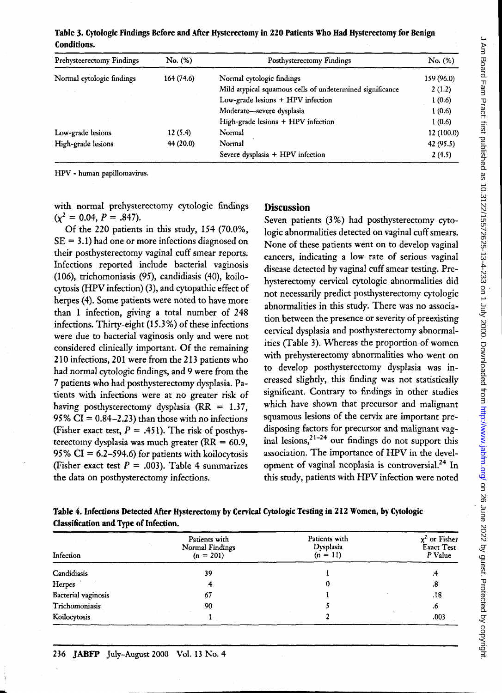| C - SIT UCES - FREE - FREE TORES IN THE FREE - FREE - FREE - FREE TORES UCES IN THE FREE TORES IN THE TREE - T |
|----------------------------------------------------------------------------------------------------------------|
|                                                                                                                |
|                                                                                                                |
|                                                                                                                |
|                                                                                                                |
|                                                                                                                |
|                                                                                                                |
|                                                                                                                |
|                                                                                                                |
|                                                                                                                |
|                                                                                                                |
|                                                                                                                |
|                                                                                                                |
|                                                                                                                |
| <b>NATHER ASSESSESSES AND A SOLUTION ASSESSED ASSESSED A</b>                                                   |
|                                                                                                                |
|                                                                                                                |
|                                                                                                                |
|                                                                                                                |
|                                                                                                                |
|                                                                                                                |
|                                                                                                                |
|                                                                                                                |
|                                                                                                                |
|                                                                                                                |
|                                                                                                                |
|                                                                                                                |
|                                                                                                                |
|                                                                                                                |
|                                                                                                                |
|                                                                                                                |
|                                                                                                                |
|                                                                                                                |
|                                                                                                                |
|                                                                                                                |
|                                                                                                                |
|                                                                                                                |
|                                                                                                                |
|                                                                                                                |
| <br> <br> <br> <br>                                                                                            |
|                                                                                                                |
|                                                                                                                |
|                                                                                                                |
|                                                                                                                |
|                                                                                                                |
|                                                                                                                |
|                                                                                                                |
|                                                                                                                |
|                                                                                                                |
|                                                                                                                |
|                                                                                                                |
|                                                                                                                |
|                                                                                                                |
|                                                                                                                |
|                                                                                                                |
|                                                                                                                |
|                                                                                                                |
|                                                                                                                |
|                                                                                                                |
|                                                                                                                |
|                                                                                                                |
|                                                                                                                |
|                                                                                                                |
|                                                                                                                |
|                                                                                                                |
|                                                                                                                |
|                                                                                                                |
|                                                                                                                |

| Table 3. Cytologic Findings Before and After Hysterectomy in 220 Patients Who Had Hysterectomy for Benign |  |  |  |
|-----------------------------------------------------------------------------------------------------------|--|--|--|
| <b>Conditions.</b>                                                                                        |  |  |  |

| Prehysteerectomy Findings | No. (%)    | Posthysterectomy Findings                                 | No. (%)    |
|---------------------------|------------|-----------------------------------------------------------|------------|
| Normal cytologic findings | 164 (74.6) | Normal cytologic findings                                 | 159 (96.0) |
|                           |            | Mild atypical squamous cells of undetermined significance | 2(1.2)     |
|                           |            | Low-grade lesions + HPV infection                         | 1(0.6)     |
|                           |            | Moderate-severe dysplasia                                 | 1(0.6)     |
|                           |            | $High\text{-}\text{grade}$ lesions $+$ HPV infection      | 1(0.6)     |
| Low-grade lesions         | 12(5.4)    | Normal                                                    | 12 (100.0) |
| High-grade lesions        | 44(20.0)   | Normal                                                    | 42 (95.5)  |
|                           |            | Severe dysplasia $+$ HPV infection                        | 2(4.5)     |

HPV - human papillomavirus.

with normal prehysterectomy cytologic findings  $(x^2 = 0.04, P = .847).$ 

Of the 220 patients in this study, 154 (70.0%,  $SE = 3.1$ ) had one or more infections diagnosed on their posthysterectomy vaginal cuff smear reports. Infections reported include bacterial vaginosis (106), trichomoniasis (95), candidiasis (40), koilocytosis (HPV infection) (3), and cytopathic effect of herpes (4). Some patients were noted to have more than 1 infection, giving a total number of 248 infections. Thirty-eight (15.3 %) of these infections were due to bacterial vaginosis only and were not considered clinically important. Of the remaining 210 infections, 201 were from the 213 patients who had normal cytologic findings, and 9 were from the 7 patients who had posthysterectomy dysplasia. Patients with infections were at no greater risk of having posthysterectomy dysplasia ( $RR = 1.37$ , 95%  $CI = 0.84 - 2.23$ ) than those with no infections (Fisher exact test,  $P = .451$ ). The risk of posthysterectomy dysplasia was much greater ( $RR = 60.9$ , 95%  $CI = 6.2 - 594.6$  for patients with koilocytosis (Fisher exact test  $P = .003$ ). Table 4 summarizes the data on posthysterectomy infections.

## **Discussion**

Seven patients (3%) had posthysterectomy cytologic abnormalities detected on vaginal cuff smears. None of these patients went on to develop vaginal cancers, indicating a low rate of serious vaginal disease detected by vaginal cuff smear testing. Prehysterectomy cervical cytologic abnormalities did not necessarily predict posthysterectomy cytologic abnormalities in this study. There was no association between the presence or severity of preexisting cervical dysplasia and posthysterectomy abnormalities (Table 3). Whereas the proportion of women with prehysterectomy abnormalities who went on to develop posthysterectomy dysplasia was increased slightly, this finding was not statistically significant. Contrary to findings in other studies which have shown that precursor and malignant squamous lesions of the cervix are important predisposing factors for precursor and malignant vaginal lesions,  $2^{1-24}$  our findings do not support this association. The importance of HPV in the development of vaginal neoplasia is controversial.<sup>24</sup> In this study, patients with HPV infection were noted

Table 4. Infections Detected After Hysterectomy by Cervical Cytologic Testing in 212 Women, by Cytologic Classification and Type of Infection.

| Infection           | Patients with<br>Normal Findings<br>$(n = 201)$ | Patients with<br>Dysplasia<br>$(n = 11)$ | $\chi^2$ or Fisher<br>Exact Test<br>P Value |
|---------------------|-------------------------------------------------|------------------------------------------|---------------------------------------------|
| Candidiasis         | 39                                              |                                          | ۰,                                          |
| Herpes              |                                                 |                                          | .8                                          |
| Bacterial vaginosis | 67                                              |                                          | .18                                         |
| Trichomoniasis      | 90                                              |                                          | .6                                          |
| Koilocytosis        |                                                 |                                          | .003                                        |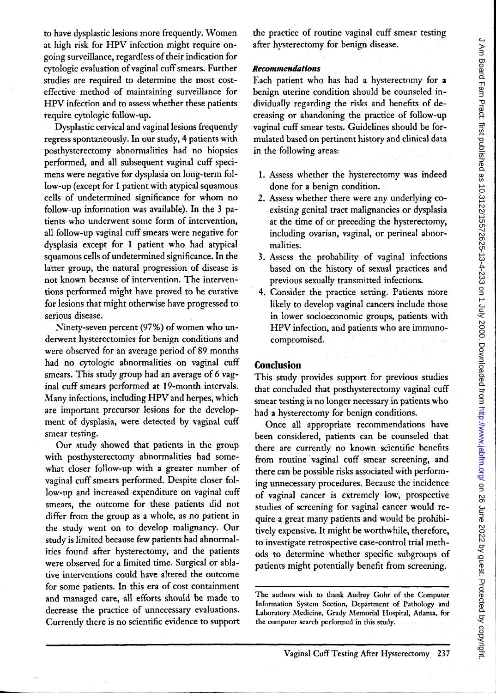to have dysplastic lesions more frequently. Women at high risk for HPV infection might require ongoing surveillance, regardless of their indication for cytologic evaluation of vaginal cuff smears. Further studies are required to determine the most costeffective method of maintaining surveillance for HPV infection and to assess whether these patients require cytologic follow-up.

Dysplastic cervical and vaginal lesions frequently regress spontaneously. In our study, 4 patients with posthysterectomy abnormalities had no biopsies performed, and all subsequent vaginal cuff specimens were negative for dysplasia on long-term follow-up (except for 1 patient with atypical squamous cells of undetermined significance for whom no follow-up information was available). In the 3 patients who underwent some form of intervention, all follow-up vaginal cuff smears were negative for dysplasia except for 1 patient who had atypical squamous cells of undetermined significance. In the latter group, the natural progression of disease is not known because of intervention. The interventions performed might have proved to be curative for lesions that might otherwise have progressed to serious disease.

Ninety-seven percent (97%) of women who underwent hysterectomies for benign conditions and were observed for an average period of 89 months had no cytologic abnormalities on vaginal cuff smears. This study group had an average of 6 vaginal cuff smears performed at 19-month intervals. Many infections, including HPV and herpes, which are important precursor lesions for the development of dysplasia, were detected by vaginal cuff smear testing.

Our study showed that patients in the group with posthysterectomy abnormalities had somewhat closer follow-up with a greater number of vaginal cuff smears performed. Despite closer follow-up and increased expenditure on vaginal cuff smears, the outcome for these patients did not differ from the group as a whole, as no patient in the study went on to develop malignancy. Our study is limited because few patients had abnormalities found after hysterectomy, and the patients were observed for a limited time. Surgical or ablative interventions could have altered the outcome for some patients. In this era of cost containment and managed care, all efforts should be made to decrease the practice of unnecessary evaluations. Currently there is no scientific evidence to support the practice of routine vaginal cuff smear testing after hysterectomy for benign disease.

### *Recommendations*

Each patient who has had a hysterectomy for a benign uterine condition should be counseled individually regarding the risks and benefits of decreasing or abandoning the practice of follow-up vaginal cuff smear tests. Guidelines should be formulated based on pertinent history and clinical data in the following areas:

- 1. Assess whether the hysterectomy was indeed done for a benign condition.
- 2. Assess whether there were any underlying coexisting genital tract malignancies or dysplasia at the time of or preceding the hysterectomy, including ovarian, vaginal, or perineal abnormalities.
- 3. Assess the probability of vaginal infections based on the history of sexual practices and previous sexually transmitted infections.
- 4. Consider the practice setting. Patients more likely to develop vaginal cancers include those in lower socioeconomic groups, patients with HPV infection, and patients who are immunocompromised.

# **Conclusion**

This study provides support for previous studies that concluded that posthysterectomy vaginal cuff smear testing is no longer necessary in patients who had a hysterectomy for benign conditions.

Once all appropriate recommendations have been considered, patients can be counseled that there are currently no known scientific benefits from routine vaginal cuff smear screening, and there can be possible risks associated with performing unnecessary procedures. Because the incidence of vaginal cancer is extremely low, prospective studies of screening for vaginal cancer would require a great many patients and would be prohibitively expensive. It might be worthwhile, therefore, to investigate retrospective case-control trial methods to determine whether specific subgroups of patients might potentially benefit from screening.

The authors wish to thank Audrey Gohr of the Computer Information System Section, Department of Pathology and Laboratory Medicine, Grady Memorial Hospital, Atlanta, for the computer search performed in this study.